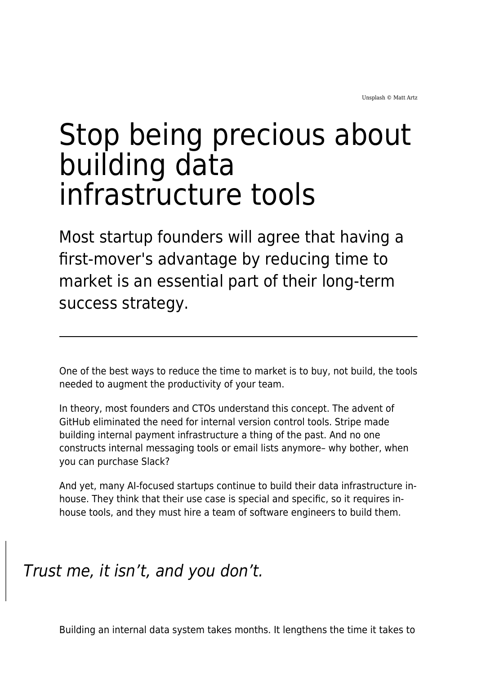# Stop being precious about building data infrastructure tools

Most startup founders will agree that having a first-mover's advantage by reducing time to market is an essential part of their long-term success strategy.

One of the best ways to reduce the time to market is to buy, not build, the tools needed to augment the productivity of your team.

In theory, most founders and CTOs understand this concept. The advent of GitHub eliminated the need for internal version control tools. Stripe made building internal payment infrastructure a thing of the past. And no one constructs internal messaging tools or email lists anymore– why bother, when you can purchase Slack?

And yet, many AI-focused startups continue to build their data infrastructure inhouse. They think that their use case is special and specific, so it requires inhouse tools, and they must hire a team of software engineers to build them.

#### Trust me, it isn't, and you don't.

Building an internal data system takes months. It lengthens the time it takes to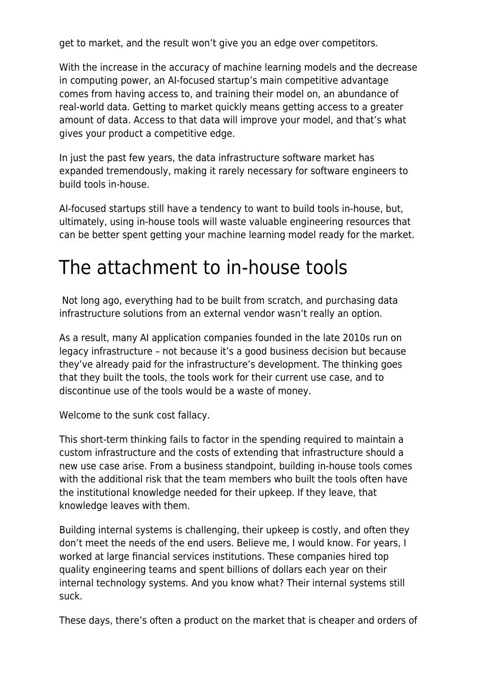get to market, and the result won't give you an edge over competitors.

With the increase in the accuracy of machine learning models and the decrease in computing power, an AI-focused startup's main competitive advantage comes from having access to, and training their model on, an abundance of real-world data. Getting to market quickly means getting access to a greater amount of data. Access to that data will improve your model, and that's what gives your product a competitive edge.

In just the past few years, the data infrastructure software market has expanded tremendously, making it rarely necessary for software engineers to build tools in-house.

AI-focused startups still have a tendency to want to build tools in-house, but, ultimately, using in-house tools will waste valuable engineering resources that can be better spent getting your machine learning model ready for the market.

## The attachment to in-house tools

Not long ago, everything had to be built from scratch, and purchasing data infrastructure solutions from an external vendor wasn't really an option.

As a result, many AI application companies founded in the late 2010s run on legacy infrastructure – not because it's a good business decision but because they've already paid for the infrastructure's development. The thinking goes that they built the tools, the tools work for their current use case, and to discontinue use of the tools would be a waste of money.

Welcome to the sunk cost fallacy.

This short-term thinking fails to factor in the spending required to maintain a custom infrastructure and the costs of extending that infrastructure should a new use case arise. From a business standpoint, building in-house tools comes with the additional risk that the team members who built the tools often have the institutional knowledge needed for their upkeep. If they leave, that knowledge leaves with them.

Building internal systems is challenging, their upkeep is costly, and often they don't meet the needs of the end users. Believe me, I would know. For years, I worked at large financial services institutions. These companies hired top quality engineering teams and spent billions of dollars each year on their internal technology systems. And you know what? Their internal systems still suck.

These days, there's often a product on the market that is cheaper and orders of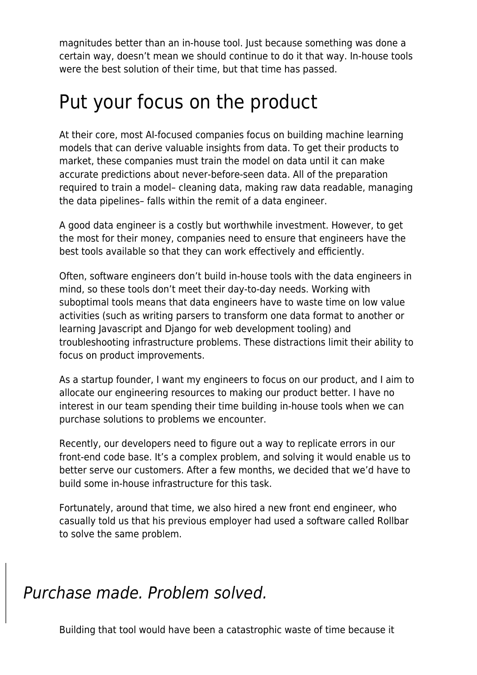magnitudes better than an in-house tool. Just because something was done a certain way, doesn't mean we should continue to do it that way. In-house tools were the best solution of their time, but that time has passed.

### Put your focus on the product

At their core, most AI-focused companies focus on building machine learning models that can derive valuable insights from data. To get their products to market, these companies must train the model on data until it can make accurate predictions about never-before-seen data. All of the preparation required to train a model– cleaning data, making raw data readable, managing the data pipelines– falls within the remit of a data engineer.

A good data engineer is a costly but worthwhile investment. However, to get the most for their money, companies need to ensure that engineers have the best tools available so that they can work effectively and efficiently.

Often, software engineers don't build in-house tools with the data engineers in mind, so these tools don't meet their day-to-day needs. Working with suboptimal tools means that data engineers have to waste time on low value activities (such as writing parsers to transform one data format to another or learning Javascript and Django for web development tooling) and troubleshooting infrastructure problems. These distractions limit their ability to focus on product improvements.

As a startup founder, I want my engineers to focus on our product, and I aim to allocate our engineering resources to making our product better. I have no interest in our team spending their time building in-house tools when we can purchase solutions to problems we encounter.

Recently, our developers need to figure out a way to replicate errors in our front-end code base. It's a complex problem, and solving it would enable us to better serve our customers. After a few months, we decided that we'd have to build some in-house infrastructure for this task.

Fortunately, around that time, we also hired a new front end engineer, who casually told us that his previous employer had used a software called Rollbar to solve the same problem.

#### Purchase made. Problem solved.

Building that tool would have been a catastrophic waste of time because it